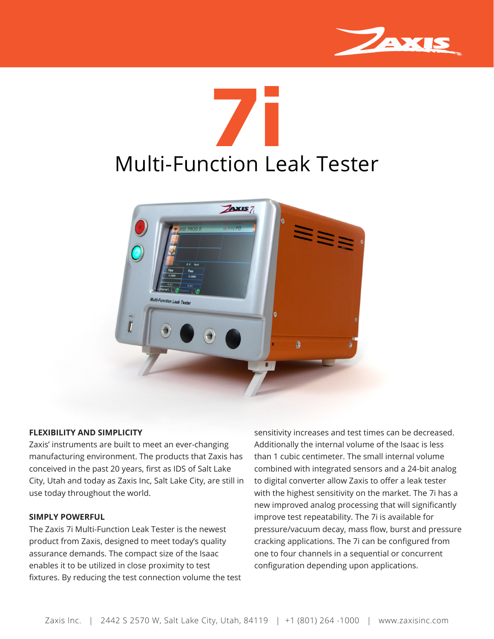

## Multi-Function Leak Tester **7i**



## **FLEXIBILITY AND SIMPLICITY**

Zaxis' instruments are built to meet an ever-changing manufacturing environment. The products that Zaxis has conceived in the past 20 years, first as IDS of Salt Lake City, Utah and today as Zaxis Inc, Salt Lake City, are still in use today throughout the world.

## **SIMPLY POWERFUL**

The Zaxis 7i Multi-Function Leak Tester is the newest product from Zaxis, designed to meet today's quality assurance demands. The compact size of the Isaac enables it to be utilized in close proximity to test fixtures. By reducing the test connection volume the test sensitivity increases and test times can be decreased. Additionally the internal volume of the Isaac is less than 1 cubic centimeter. The small internal volume combined with integrated sensors and a 24-bit analog to digital converter allow Zaxis to offer a leak tester with the highest sensitivity on the market. The 7i has a new improved analog processing that will significantly improve test repeatability. The 7i is available for pressure/vacuum decay, mass flow, burst and pressure cracking applications. The 7i can be configured from one to four channels in a sequential or concurrent configuration depending upon applications.